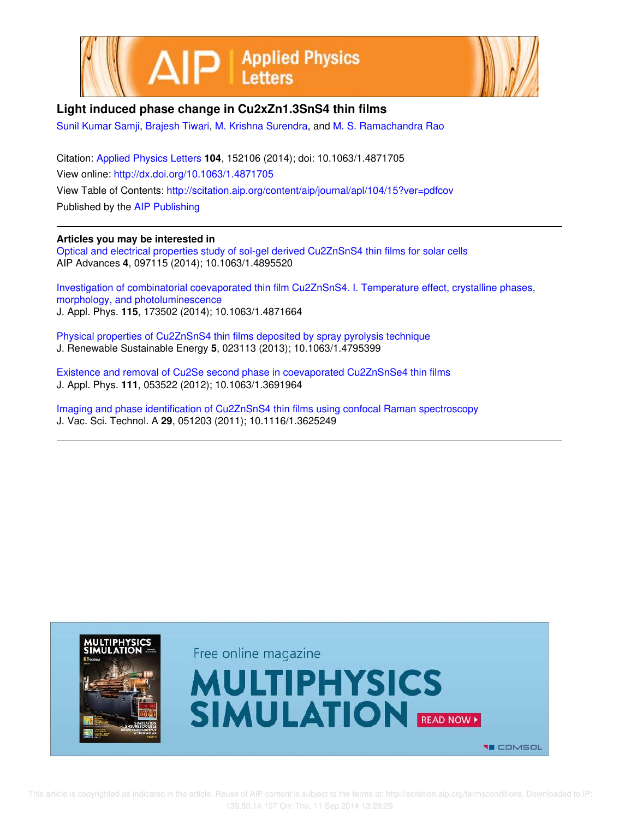



## **Light induced phase change in Cu2xZn1.3SnS4 thin films**

Sunil Kumar Samji, Brajesh Tiwari, M. Krishna Surendra, and M. S. Ramachandra Rao

Citation: Applied Physics Letters **104**, 152106 (2014); doi: 10.1063/1.4871705 View online: http://dx.doi.org/10.1063/1.4871705 View Table of Contents: http://scitation.aip.org/content/aip/journal/apl/104/15?ver=pdfcov Published by the AIP Publishing

## **Articles you may be interested in**

Optical and electrical properties study of sol-gel derived Cu2ZnSnS4 thin films for solar cells AIP Advances **4**, 097115 (2014); 10.1063/1.4895520

Investigation of combinatorial coevaporated thin film Cu2ZnSnS4. I. Temperature effect, crystalline phases, morphology, and photoluminescence J. Appl. Phys. **115**, 173502 (2014); 10.1063/1.4871664

Physical properties of Cu2ZnSnS4 thin films deposited by spray pyrolysis technique J. Renewable Sustainable Energy **5**, 023113 (2013); 10.1063/1.4795399

Existence and removal of Cu2Se second phase in coevaporated Cu2ZnSnSe4 thin films J. Appl. Phys. **111**, 053522 (2012); 10.1063/1.3691964

Imaging and phase identification of Cu2ZnSnS4 thin films using confocal Raman spectroscopy J. Vac. Sci. Technol. A **29**, 051203 (2011); 10.1116/1.3625249

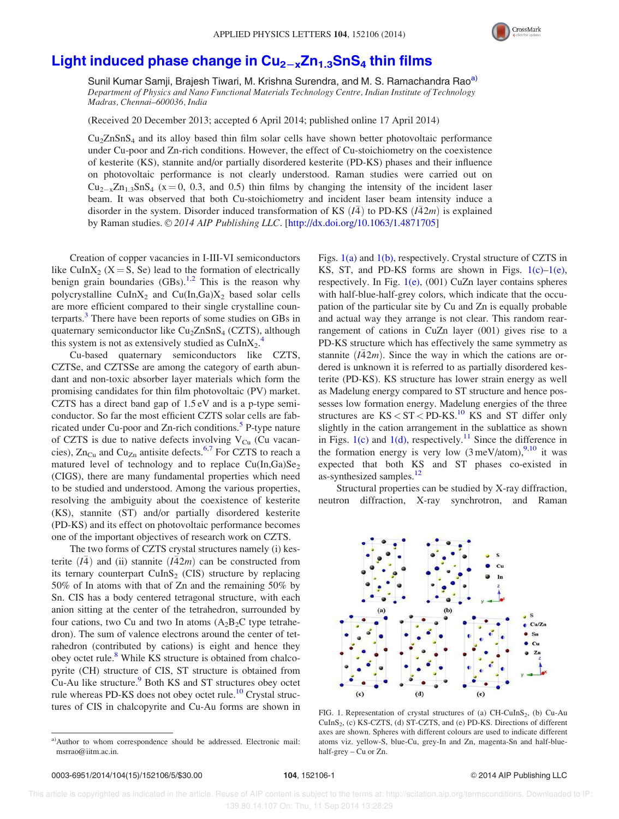

## Light induced phase change in  $Cu_{2-x}Zn_{1.3}SnS_4$  thin films

Sunil Kumar Samji, Brajesh Tiwari, M. Krishna Surendra, and M. S. Ramachandra Rao<sup>a)</sup> Department of Physics and Nano Functional Materials Technology Centre, Indian Institute of Technology Madras, Chennai–600036, India

(Received 20 December 2013; accepted 6 April 2014; published online 17 April 2014)

 $Cu<sub>2</sub>ZnSnS<sub>4</sub>$  and its alloy based thin film solar cells have shown better photovoltaic performance under Cu-poor and Zn-rich conditions. However, the effect of Cu-stoichiometry on the coexistence of kesterite (KS), stannite and/or partially disordered kesterite (PD-KS) phases and their influence on photovoltaic performance is not clearly understood. Raman studies were carried out on  $Cu_{2-x}Zn_{1,3}SnS_4$  (x = 0, 0.3, and 0.5) thin films by changing the intensity of the incident laser beam. It was observed that both Cu-stoichiometry and incident laser beam intensity induce a disorder in the system. Disorder induced transformation of KS  $(I\bar{A})$  to PD-KS  $(I\bar{A}2m)$  is explained by Raman studies. © 2014 AIP Publishing LLC. [http://dx.doi.org/10.1063/1.4871705]

Creation of copper vacancies in I-III-VI semiconductors like CuIn $X_2$  (X = S, Se) lead to the formation of electrically benign grain boundaries  $(GBs)$ .<sup>1,2</sup> This is the reason why polycrystalline CuIn $X_2$  and Cu(In,Ga) $X_2$  based solar cells are more efficient compared to their single crystalline counterparts.<sup>3</sup> There have been reports of some studies on GBs in quaternary semiconductor like  $Cu<sub>2</sub>ZnSnS<sub>4</sub>$  (CZTS), although this system is not as extensively studied as  $\text{CuInX}_2$ .

Cu-based quaternary semiconductors like CZTS, CZTSe, and CZTSSe are among the category of earth abundant and non-toxic absorber layer materials which form the promising candidates for thin film photovoltaic (PV) market. CZTS has a direct band gap of 1.5 eV and is a p-type semiconductor. So far the most efficient CZTS solar cells are fabricated under Cu-poor and Zn-rich conditions.<sup>5</sup> P-type nature of CZTS is due to native defects involving  $V_{Cu}$  (Cu vacancies),  $Zn_{Cu}$  and  $Cu_{Zn}$  antisite defects.<sup>6,7</sup> For CZTS to reach a matured level of technology and to replace  $Cu(In,Ga)Se<sub>2</sub>$ (CIGS), there are many fundamental properties which need to be studied and understood. Among the various properties, resolving the ambiguity about the coexistence of kesterite (KS), stannite (ST) and/or partially disordered kesterite (PD-KS) and its effect on photovoltaic performance becomes one of the important objectives of research work on CZTS.

The two forms of CZTS crystal structures namely (i) kesterite  $(\overline{I4})$  and (ii) stannite  $(\overline{I4}2m)$  can be constructed from its ternary counterpart  $\text{CuInS}_2$  (CIS) structure by replacing 50% of In atoms with that of Zn and the remaining 50% by Sn. CIS has a body centered tetragonal structure, with each anion sitting at the center of the tetrahedron, surrounded by four cations, two Cu and two In atoms  $(A_2B_2C)$  type tetrahedron). The sum of valence electrons around the center of tetrahedron (contributed by cations) is eight and hence they obey octet rule.<sup>8</sup> While KS structure is obtained from chalcopyrite (CH) structure of CIS, ST structure is obtained from Cu-Au like structure.<sup>9</sup> Both KS and ST structures obey octet rule whereas PD-KS does not obey octet rule.<sup>10</sup> Crystal structures of CIS in chalcopyrite and Cu-Au forms are shown in Figs. 1(a) and 1(b), respectively. Crystal structure of CZTS in KS, ST, and PD-KS forms are shown in Figs.  $1(c)-1(e)$ , respectively. In Fig.  $1(e)$ , (001) CuZn layer contains spheres with half-blue-half-grey colors, which indicate that the occupation of the particular site by Cu and Zn is equally probable and actual way they arrange is not clear. This random rearrangement of cations in CuZn layer (001) gives rise to a PD-KS structure which has effectively the same symmetry as stannite  $(\overline{I42m})$ . Since the way in which the cations are ordered is unknown it is referred to as partially disordered kesterite (PD-KS). KS structure has lower strain energy as well as Madelung energy compared to ST structure and hence possesses low formation energy. Madelung energies of the three structures are  $KS < ST < PD-KS$ .<sup>10</sup> KS and ST differ only slightly in the cation arrangement in the sublattice as shown in Figs.  $1(c)$  and  $1(d)$ , respectively.<sup>11</sup> Since the difference in the formation energy is very low  $(3 \text{ meV/atom})$ ,<sup>9,10</sup> it was expected that both KS and ST phases co-existed in as-synthesized samples.<sup>12</sup>

Structural properties can be studied by X-ray diffraction, neutron diffraction, X-ray synchrotron, and Raman



FIG. 1. Representation of crystal structures of (a)  $CH-CuInS<sub>2</sub>$ , (b) Cu-Au CuInS<sub>2</sub>, (c) KS-CZTS, (d) ST-CZTS, and (e) PD-KS. Directions of different axes are shown. Spheres with different colours are used to indicate different atoms viz. yellow-S, blue-Cu, grey-In and Zn, magenta-Sn and half-bluehalf-grey – Cu or Zn.

a)Author to whom correspondence should be addressed. Electronic mail: msrrao@iitm.ac.in.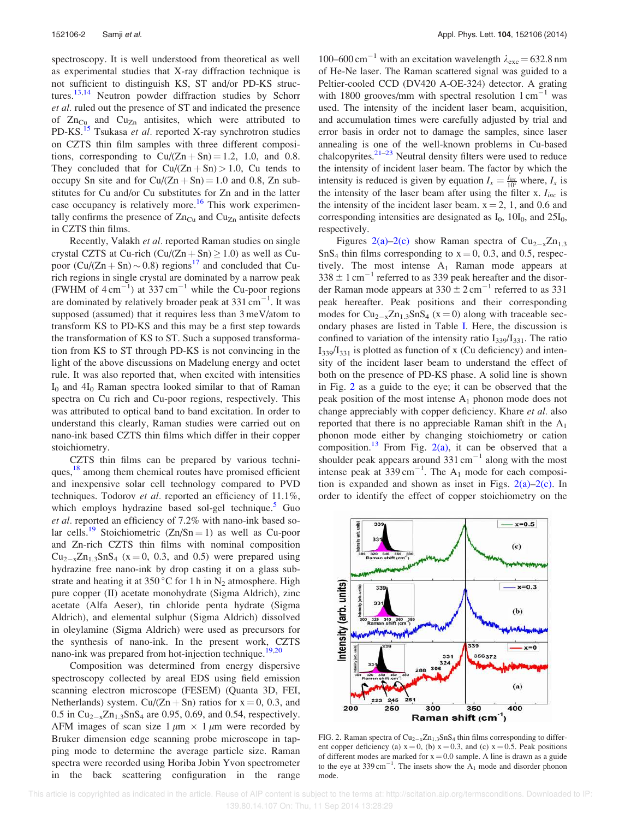spectroscopy. It is well understood from theoretical as well as experimental studies that X-ray diffraction technique is not sufficient to distinguish KS, ST and/or PD-KS structures.<sup>13,14</sup> Neutron powder diffraction studies by Schorr et al. ruled out the presence of ST and indicated the presence of  $Zn_{Cu}$  and  $Cu_{Zn}$  antisites, which were attributed to PD-KS.<sup>15</sup> Tsukasa et al. reported X-ray synchrotron studies on CZTS thin film samples with three different compositions, corresponding to  $Cu/(Zn + Sn) = 1.2$ , 1.0, and 0.8. They concluded that for  $Cu/(Zn + Sn) > 1.0$ , Cu tends to occupy Sn site and for  $Cu/(Zn + Sn) = 1.0$  and 0.8, Zn substitutes for Cu and/or Cu substitutes for Zn and in the latter case occupancy is relatively more.<sup>16</sup> This work experimentally confirms the presence of  $Zn_{Cu}$  and  $Cu_{Zn}$  antisite defects in CZTS thin films.

Recently, Valakh et al. reported Raman studies on single crystal CZTS at Cu-rich  $(Cu/(Zn + Sn) \ge 1.0)$  as well as Cupoor  $(Cu/(Zn + Sn) \sim 0.8)$  regions<sup>17</sup> and concluded that Curich regions in single crystal are dominated by a narrow peak (FWHM of  $4 \text{ cm}^{-1}$ ) at 337 cm<sup>-1</sup> while the Cu-poor regions are dominated by relatively broader peak at  $331 \text{ cm}^{-1}$ . It was supposed (assumed) that it requires less than 3 meV/atom to transform KS to PD-KS and this may be a first step towards the transformation of KS to ST. Such a supposed transformation from KS to ST through PD-KS is not convincing in the light of the above discussions on Madelung energy and octet rule. It was also reported that, when excited with intensities  $I_0$  and  $4I_0$  Raman spectra looked similar to that of Raman spectra on Cu rich and Cu-poor regions, respectively. This was attributed to optical band to band excitation. In order to understand this clearly, Raman studies were carried out on nano-ink based CZTS thin films which differ in their copper stoichiometry.

CZTS thin films can be prepared by various techniques,<sup>18</sup> among them chemical routes have promised efficient and inexpensive solar cell technology compared to PVD techniques. Todorov et al. reported an efficiency of 11.1%, which employs hydrazine based sol-gel technique.<sup>5</sup> Guo et al. reported an efficiency of 7.2% with nano-ink based solar cells.<sup>19</sup> Stoichiometric  $(Zn/Sn = 1)$  as well as Cu-poor and Zn-rich CZTS thin films with nominal composition  $Cu_{2-x}Zn_{1.3}SnS_4$  (x = 0, 0.3, and 0.5) were prepared using hydrazine free nano-ink by drop casting it on a glass substrate and heating it at 350 °C for 1 h in  $N_2$  atmosphere. High pure copper (II) acetate monohydrate (Sigma Aldrich), zinc acetate (Alfa Aeser), tin chloride penta hydrate (Sigma Aldrich), and elemental sulphur (Sigma Aldrich) dissolved in oleylamine (Sigma Aldrich) were used as precursors for the synthesis of nano-ink. In the present work, CZTS nano-ink was prepared from hot-injection technique.<sup>19,20</sup>

Composition was determined from energy dispersive spectroscopy collected by areal EDS using field emission scanning electron microscope (FESEM) (Quanta 3D, FEI, Netherlands) system. Cu/(Zn + Sn) ratios for  $x = 0$ , 0.3, and 0.5 in  $Cu_{2-x}Zn_{1.3}SnS_4$  are 0.95, 0.69, and 0.54, respectively. AFM images of scan size  $1 \mu m \times 1 \mu m$  were recorded by Bruker dimension edge scanning probe microscope in tapping mode to determine the average particle size. Raman spectra were recorded using Horiba Jobin Yvon spectrometer in the back scattering configuration in the range

100–600 cm<sup>-1</sup> with an excitation wavelength  $\lambda_{\text{exc}} = 632.8 \text{ nm}$ of He-Ne laser. The Raman scattered signal was guided to a Peltier-cooled CCD (DV420 A-OE-324) detector. A grating with 1800 grooves/mm with spectral resolution  $1 \text{ cm}^{-1}$  was used. The intensity of the incident laser beam, acquisition, and accumulation times were carefully adjusted by trial and error basis in order not to damage the samples, since laser annealing is one of the well-known problems in Cu-based chalcopyrites. $2^{1-23}$  Neutral density filters were used to reduce the intensity of incident laser beam. The factor by which the intensity is reduced is given by equation  $I_x = \frac{I_{inc}}{10^x}$  where,  $I_x$  is the intensity of the laser beam after using the filter x.  $I_{inc}$  is the intensity of the incident laser beam.  $x = 2$ , 1, and 0.6 and corresponding intensities are designated as  $I_0$ , 10 $I_0$ , and 25 $I_0$ , respectively.

Figures  $2(a)-2(c)$  show Raman spectra of  $Cu_{2-x}Zn_{1,3}$  $SnS<sub>4</sub>$  thin films corresponding to  $x = 0$ , 0.3, and 0.5, respectively. The most intense  $A_1$  Raman mode appears at  $338 \pm 1$  cm<sup>-1</sup> referred to as 339 peak hereafter and the disorder Raman mode appears at  $330 \pm 2 \text{ cm}^{-1}$  referred to as 331 peak hereafter. Peak positions and their corresponding modes for  $Cu_{2-x}Zn_{1,3}SnS_4$  (x = 0) along with traceable secondary phases are listed in Table I. Here, the discussion is confined to variation of the intensity ratio  $I_{339}/I_{331}$ . The ratio  $I_{339}/I_{331}$  is plotted as function of x (Cu deficiency) and intensity of the incident laser beam to understand the effect of both on the presence of PD-KS phase. A solid line is shown in Fig. 2 as a guide to the eye; it can be observed that the peak position of the most intense  $A_1$  phonon mode does not change appreciably with copper deficiency. Khare et al. also reported that there is no appreciable Raman shift in the  $A_1$ phonon mode either by changing stoichiometry or cation composition.<sup>13</sup> From Fig. 2(a), it can be observed that a shoulder peak appears around  $331 \text{ cm}^{-1}$  along with the most intense peak at  $339 \text{ cm}^{-1}$ . The A<sub>1</sub> mode for each composition is expanded and shown as inset in Figs. 2(a)–2(c). In order to identify the effect of copper stoichiometry on the



FIG. 2. Raman spectra of  $Cu_{2-x}Zn_{1.3}SnS_4$  thin films corresponding to different copper deficiency (a)  $x = 0$ , (b)  $x = 0.3$ , and (c)  $x = 0.5$ . Peak positions of different modes are marked for  $x = 0.0$  sample. A line is drawn as a guide to the eye at  $339 \text{ cm}^{-1}$ . The insets show the  $A_1$  mode and disorder phonon mode.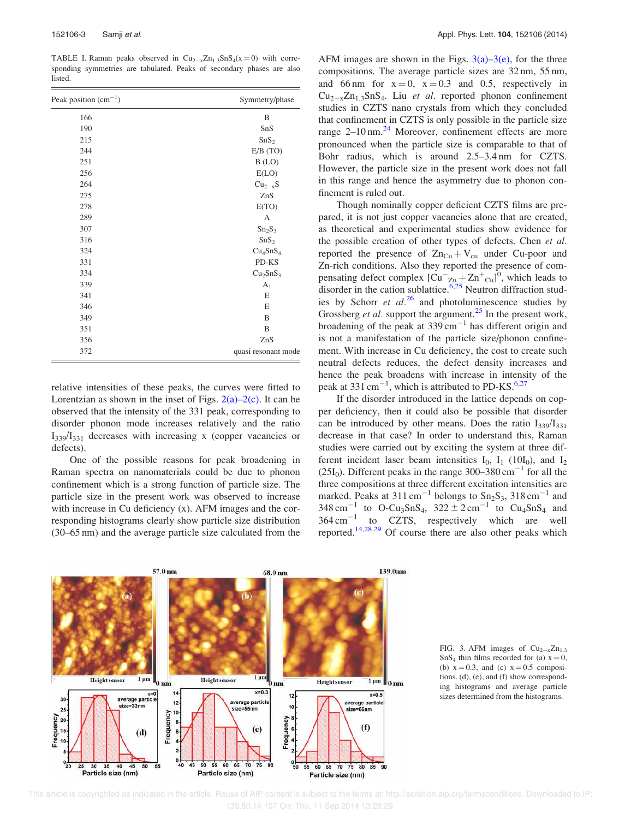TABLE I. Raman peaks observed in  $Cu_{2-x}Zn_{1.3}SnS_4(x=0)$  with corresponding symmetries are tabulated. Peaks of secondary phases are also listed.

| Peak position $(cm^{-1})$ | Symmetry/phase                   |
|---------------------------|----------------------------------|
| 166                       | B                                |
| 190                       | SnS                              |
| 215                       | SnS <sub>2</sub>                 |
| 244                       | E/B(TO)                          |
| 251                       | B (LO)                           |
| 256                       | E(LO)                            |
| 264                       | $Cu_{2-x}S$                      |
| 275                       | ZnS                              |
| 278                       | E(TO)                            |
| 289                       | A                                |
| 307                       | Sn <sub>2</sub> S <sub>3</sub>   |
| 316                       | SnS <sub>2</sub>                 |
| 324                       | Cu <sub>4</sub> SnS <sub>4</sub> |
| 331                       | PD-KS                            |
| 334                       | Cu <sub>2</sub> SnS <sub>3</sub> |
| 339                       | $A_1$                            |
| 341                       | E                                |
| 346                       | E                                |
| 349                       | B                                |
| 351                       | B                                |
| 356                       | ZnS                              |
| 372                       | quasi resonant mode              |

relative intensities of these peaks, the curves were fitted to Lorentzian as shown in the inset of Figs.  $2(a)-2(c)$ . It can be observed that the intensity of the 331 peak, corresponding to disorder phonon mode increases relatively and the ratio  $I_{339}/I_{331}$  decreases with increasing x (copper vacancies or defects).

One of the possible reasons for peak broadening in Raman spectra on nanomaterials could be due to phonon confinement which is a strong function of particle size. The particle size in the present work was observed to increase with increase in Cu deficiency (x). AFM images and the corresponding histograms clearly show particle size distribution (30–65 nm) and the average particle size calculated from the AFM images are shown in the Figs.  $3(a)-3(e)$ , for the three compositions. The average particle sizes are 32 nm, 55 nm, and 66 nm for  $x = 0$ ,  $x = 0.3$  and 0.5, respectively in  $Cu_{2-x}Zn_{1.3}SnS_4$ . Liu et al. reported phonon confinement studies in CZTS nano crystals from which they concluded that confinement in CZTS is only possible in the particle size range  $2-10$  nm.<sup>24</sup> Moreover, confinement effects are more pronounced when the particle size is comparable to that of Bohr radius, which is around 2.5–3.4 nm for CZTS. However, the particle size in the present work does not fall in this range and hence the asymmetry due to phonon confinement is ruled out.

Though nominally copper deficient CZTS films are prepared, it is not just copper vacancies alone that are created, as theoretical and experimental studies show evidence for the possible creation of other types of defects. Chen et al. reported the presence of  $Zn_{Cu} + V_{cu}$  under Cu-poor and Zn-rich conditions. Also they reported the presence of compensating defect complex  $\left[\text{Cu}^{-}\text{Zn} + \text{Zn}^{+}\text{Cu}\right]^{0}$ , which leads to disorder in the cation sublattice. $6.25$  Neutron diffraction studies by Schorr et  $al^{26}$  and photoluminescence studies by Grossberg *et al.* support the argument.<sup>25</sup> In the present work, broadening of the peak at  $339 \text{ cm}^{-1}$  has different origin and is not a manifestation of the particle size/phonon confinement. With increase in Cu deficiency, the cost to create such neutral defects reduces, the defect density increases and hence the peak broadens with increase in intensity of the peak at 331 cm<sup> $-1$ </sup>, which is attributed to PD-KS.<sup>6,27</sup>

If the disorder introduced in the lattice depends on copper deficiency, then it could also be possible that disorder can be introduced by other means. Does the ratio  $I_{339}/I_{331}$ decrease in that case? In order to understand this, Raman studies were carried out by exciting the system at three different incident laser beam intensities  $I_0$ ,  $I_1$  (10I<sub>0</sub>), and  $I_2$ (25I<sub>0</sub>). Different peaks in the range  $300-380 \text{ cm}^{-1}$  for all the three compositions at three different excitation intensities are marked. Peaks at  $311 \text{ cm}^{-1}$  belongs to  $\text{Sn}_2\text{S}_3$ ,  $318 \text{ cm}^{-1}$  and  $348 \text{ cm}^{-1}$  to O-Cu<sub>3</sub>SnS<sub>4</sub>,  $322 \pm 2 \text{ cm}^{-1}$  to Cu<sub>4</sub>SnS<sub>4</sub> and  $364 \text{ cm}^{-1}$  to CZTS, respectively which are well reported.14,28,29 Of course there are also other peaks which



FIG. 3. AFM images of  $Cu_{2-x}Zn_{1.3}$  $SnS<sub>4</sub>$  thin films recorded for (a)  $x = 0$ , (b)  $x = 0.3$ , and (c)  $x = 0.5$  compositions. (d), (e), and (f) show corresponding histograms and average particle sizes determined from the histograms.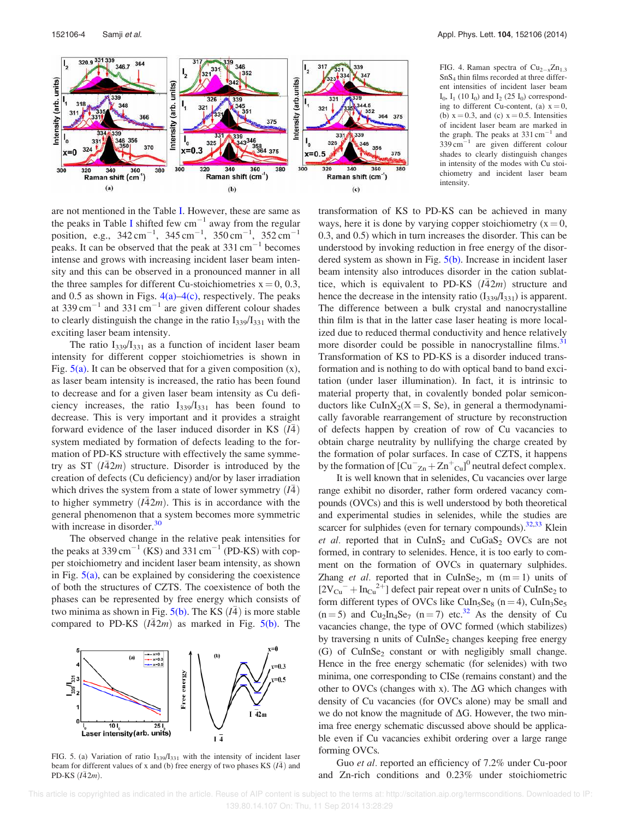

FIG. 4. Raman spectra of  $Cu_{2-x}Zn_{1,3}$ SnS<sup>4</sup> thin films recorded at three different intensities of incident laser beam  $I_0$ ,  $I_1$  (10  $I_0$ ) and  $I_2$  (25  $I_0$ ) corresponding to different Cu-content, (a)  $x = 0$ , (b)  $x = 0.3$ , and (c)  $x = 0.5$ . Intensities of incident laser beam are marked in the graph. The peaks at  $331 \text{ cm}^{-1}$  and  $339 \text{ cm}^{-1}$  are given different colour shades to clearly distinguish changes in intensity of the modes with Cu stoichiometry and incident laser beam intensity.

are not mentioned in the Table I. However, these are same as the peaks in Table I shifted few  $cm^{-1}$  away from the regular position, e.g.,  $342 \text{ cm}^{-1}$ ,  $345 \text{ cm}^{-1}$ ,  $350 \text{ cm}^{-1}$ ,  $352 \text{ cm}^{-1}$ peaks. It can be observed that the peak at  $331 \text{ cm}^{-1}$  becomes intense and grows with increasing incident laser beam intensity and this can be observed in a pronounced manner in all the three samples for different Cu-stoichiometries  $x = 0, 0.3$ , and 0.5 as shown in Figs.  $4(a) - 4(c)$ , respectively. The peaks at 339 cm<sup> $^{-1}$ </sup> and 331 cm<sup> $^{-1}$ </sup> are given different colour shades to clearly distinguish the change in the ratio  $I_{339}/I_{331}$  with the exciting laser beam intensity.

The ratio  $I_{339}/I_{331}$  as a function of incident laser beam intensity for different copper stoichiometries is shown in Fig.  $5(a)$ . It can be observed that for a given composition  $(x)$ , as laser beam intensity is increased, the ratio has been found to decrease and for a given laser beam intensity as Cu deficiency increases, the ratio  $I_{339}/I_{331}$  has been found to decrease. This is very important and it provides a straight forward evidence of the laser induced disorder in KS  $(I\bar{A})$ system mediated by formation of defects leading to the formation of PD-KS structure with effectively the same symmetry as  $ST(\overline{I42m})$  structure. Disorder is introduced by the creation of defects (Cu deficiency) and/or by laser irradiation which drives the system from a state of lower symmetry  $(\overline{I4})$ to higher symmetry  $(I\overline{4}2m)$ . This is in accordance with the general phenomenon that a system becomes more symmetric with increase in disorder. $30$ 

The observed change in the relative peak intensities for the peaks at 339 cm<sup>-1</sup> (KS) and 331 cm<sup>-1</sup> (PD-KS) with copper stoichiometry and incident laser beam intensity, as shown in Fig.  $5(a)$ , can be explained by considering the coexistence of both the structures of CZTS. The coexistence of both the phases can be represented by free energy which consists of two minima as shown in Fig.  $5(b)$ . The KS  $(I\overline{4})$  is more stable compared to PD-KS  $(I\overline{4}2m)$  as marked in Fig. 5(b). The



FIG. 5. (a) Variation of ratio  $I_{339}/I_{331}$  with the intensity of incident laser beam for different values of x and (b) free energy of two phases KS  $(I\bar{A})$  and PD-KS  $(I\bar{4}2m)$ .

transformation of KS to PD-KS can be achieved in many ways, here it is done by varying copper stoichiometry  $(x = 0,$ 0.3, and 0.5) which in turn increases the disorder. This can be understood by invoking reduction in free energy of the disordered system as shown in Fig. 5(b). Increase in incident laser beam intensity also introduces disorder in the cation sublattice, which is equivalent to PD-KS  $(\overline{I42m})$  structure and hence the decrease in the intensity ratio  $(I_{339}/I_{331})$  is apparent. The difference between a bulk crystal and nanocrystalline thin film is that in the latter case laser heating is more localized due to reduced thermal conductivity and hence relatively more disorder could be possible in nanocrystalline films.<sup>31</sup> Transformation of KS to PD-KS is a disorder induced transformation and is nothing to do with optical band to band excitation (under laser illumination). In fact, it is intrinsic to material property that, in covalently bonded polar semiconductors like  $CuInX_2(X = S, Se)$ , in general a thermodynamically favorable rearrangement of structure by reconstruction of defects happen by creation of row of Cu vacancies to obtain charge neutrality by nullifying the charge created by the formation of polar surfaces. In case of CZTS, it happens by the formation of  $\left[ Cu^{-}z_{n} + Zn^{+}c_{u} \right]^{0}$  neutral defect complex.

It is well known that in selenides, Cu vacancies over large range exhibit no disorder, rather form ordered vacancy compounds (OVCs) and this is well understood by both theoretical and experimental studies in selenides, while the studies are scarcer for sulphides (even for ternary compounds). $32,33$  Klein et al. reported that in  $CuInS<sub>2</sub>$  and  $CuGaS<sub>2</sub>$  OVCs are not formed, in contrary to selenides. Hence, it is too early to comment on the formation of OVCs in quaternary sulphides. Zhang et al. reported that in CuInSe<sub>2</sub>, m  $(m=1)$  units of  $[2V_{Cu}^- + In_{Cu}^{2+}]$  defect pair repeat over n units of CuInSe<sub>2</sub> to form different types of OVCs like CuIn<sub>5</sub>Se<sub>8</sub> (n = 4), CuIn<sub>3</sub>Se<sub>5</sub>  $(n=5)$  and Cu<sub>2</sub>In<sub>4</sub>Se<sub>7</sub> (n = 7) etc.<sup>32</sup> As the density of Cu vacancies change, the type of OVC formed (which stabilizes) by traversing n units of CuInSe<sub>2</sub> changes keeping free energy (G) of CuInSe<sub>2</sub> constant or with negligibly small change. Hence in the free energy schematic (for selenides) with two minima, one corresponding to CISe (remains constant) and the other to OVCs (changes with x). The  $\Delta G$  which changes with density of Cu vacancies (for OVCs alone) may be small and we do not know the magnitude of  $\Delta G$ . However, the two minima free energy schematic discussed above should be applicable even if Cu vacancies exhibit ordering over a large range forming OVCs.

Guo et al. reported an efficiency of 7.2% under Cu-poor and Zn-rich conditions and 0.23% under stoichiometric